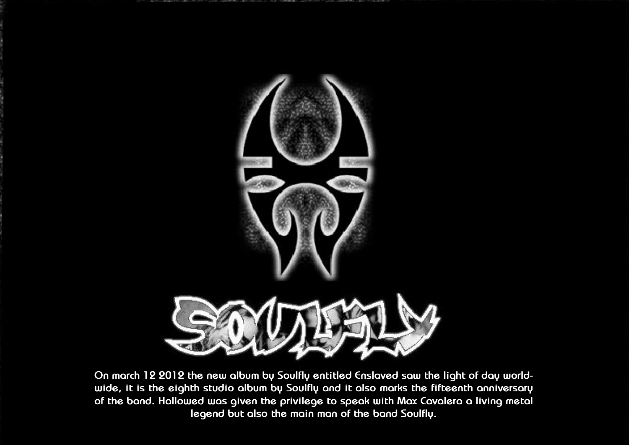

**On march 12 2012 the new album by Soulfly entitled Enslaved saw the light of day worldwide, it is the eighth studio album by Soulfly and it also marks the fifteenth anniversary of the band. Hallowed was given the privilege to speak with Max Cavalera a living metal legend but also the main man of the band Soulfly.**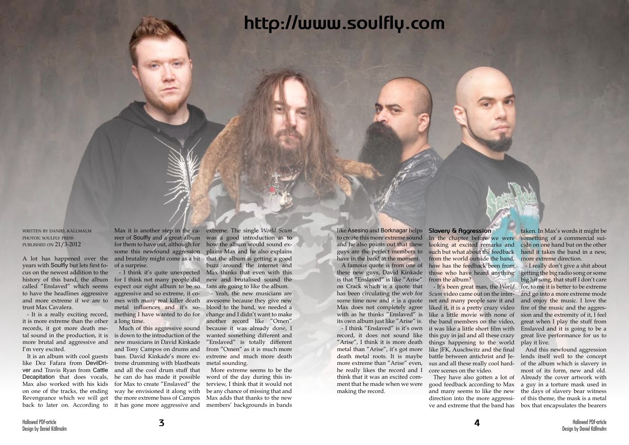written by daniel källmalm photos: soulfly press published on 21/3-2012

years with Soulfly but lets first focus on the newest addition to the called "Enslaved" which seems and more extreme if we are to trust Max Cavalera.

- It is a really exciting record, it is more extreme than the other a long time. records, it got more death memore brutal and aggressive and I'm very excited.

A lot has happened over the and brutality might come as a bit that the album is getting a good reer of Soulfly and a great album was a good introduction as to for them to have out, although for some this newfound aggression plains Max and he also explains of a surprise.

tal sound in the production, it is is down to the introduction of the like Dez Fafara from DevilDri-treme drumming with blastbeats ver and Travis Ryan from Cattle and all the cool drum stuff that Decapitation that does vocals, he can do has made it possible Max also worked with his kids for Max to create "Enslaved" the on one of the tracks, the ending way he envisioned it along with Revengeance which we will get the more extreme bass of Campos Max adds that thanks to the new Much of this aggressive sound new musicians in David Kinkade and Tony Campos on drums and bass. David Kinkade's more ex-

It is an album with cool guests back to later on. According to it has gone more aggressive and

history of this band, the album for I think not many people did to have the headlines aggressive aggressive and so extreme, it co-- I think it's quite unexpected expect our eight album to be so mes with many real killer death awesome because they give new metal influences and it's something I have wanted to do for change and I didn't want to make

Max it is another step in the ca-extreme. The single *World Scum* how the album would sound exbuzz around the internet and Max thinks that even with this new and brutalised sound the fans are going to like the album.

> - Yeah, the new musicians are blood to the band, we needed a another record like "Omen" because it was already done, I wanted something different and "Enslaved" is totally different from "Omen" as it is much more extreme and much more death metal sounding.

> More extreme seems to be the word of the day during this interview, I think that it would not be any chance of missing that and members' backgrounds in bands

like Asesino and Borknagar helps **Slavery & Aggression** to create this more extreme sound In the chapter before we were and he also points out that these looking at excited remarks and guys are the perfect members to have in the band at the moment.

A famous quote is from one of these new guys, David Kinkade is that "Enslaved" is like "Arise" on Crack which is a quote that has been circulating the web for *Scum* video came out on the intersome time now and it is a quote net and many people saw it and Max does not completely agree with as he thinks "Enslaved" is its own album just like "Arise" is.

- I think "Enslaved" is it's own record, it does not sound like this guy in jail and all these crazy "Arise", I think it is more death things happening to the world metal than "Arise", it's got more death metal roots. It is maybe battle between antichrist and Jemore extreme than "Arise" even, he really likes the record and I think that it was an excited comment that he made when we were making the record.

such but what about the feedback from the world outside the band, how has the feedback been from those who have heard anything from the album?

liked it, it is a pretty crazy video like a little movie with none of the band members on the video, it was like a little short film with like JFK, Auschwitz and the final sus and all these really cool hardcore scenes on the video.

They have also gotten a lot of good feedback according to Max and many seems to like the new direction into the more aggressi-

- It's been great man, the *World*  for, to me it is better to be extreme - I really don't give a shit about getting the big radio song or some big hit song, that stuff I don't care and go into a more extreme mode and enjoy the music. I love the fire of the music and the aggression and the extremity of it, I feel great when I play the stuff from Enslaved and it is going to be a great live performance for us to play it live.

taken. In Max's words it might be something of a commercial suicide on one hand but on the other hand it takes the band in a new, more extreme direction.

ve and extreme that the band has box that encapsulates the bearers And this newfound aggression lends itself well to the concept of the album which is slavery in most of its form, new and old. Already the cover artwork with a guy in a torture mask used in the days of slavery bear witness of this theme, the mask is a metal

# **http://www.soulfly.com**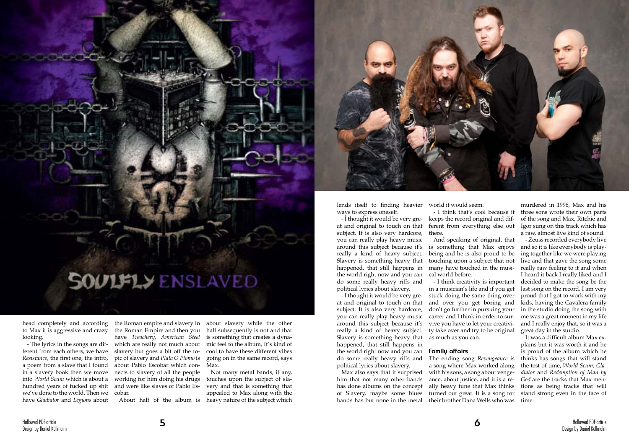

head completely and according to Max it is aggressive and crazy looking.

- The lyrics in the songs are different from each others, we have *Resistance*, the first one, the intro, a poem from a slave that I found in a slavery book then we move into *World Scum* which is about a hundred years of fucked up shit we've done to the world. Then we have *Gladiator* and *Legions* about

the Roman empire and slavery in the Roman Empire and then you have *Treachery*, *American Steel*  which are really not much about slavery but goes a bit off the topic of slavery and *Plata O Plomo* is about Pablo Escobar which con-Max. nects to slavery of all the people working for him doing his drugs and were like slaves of Pablo Escobar.

about slavery while the other half subsequently is not and that is something that creates a dynamic feel to the album, It's kind of cool to have these different vibes going on in the same record, says

About half of the album is heavy nature of the subject which Not many metal bands, if any, touches upon the subject of slavery and that is something that appealed to Max along with the



lends itself to finding heavier ways to express oneself.

- I thought it would be very great and original to touch on that subject. It is also very hardcore, you can really play heavy music around this subject because it's really a kind of heavy subject. Slavery is something heavy that happened, that still happens in many have touched in the musithe world right now and you can do some really heavy riffs and political lyrics about slavery.

- I thought it would be very great and original to touch on that subject. It is also very hardcore, you can really play heavy music around this subject because it's really a kind of heavy subject. Slavery is something heavy that happened, that still happens in the world right now and you can **Family affairs** do some really heavy riffs and political lyrics about slavery.

Max also says that it surprised him that not many other bands has done albums on the concept of Slavery, maybe some blues bands has but none in the metal

world it would seem. - I think that's cool because it keeps the record original and different from everything else out there.

And speaking of original, that is something that Max enjoys being and he is also proud to be touching upon a subject that not cal world before.

- I think creativity is important in a musician's life and if you get stuck doing the same thing over and over you get boring and don't go further in pursuing your career and I think in order to survive you have to let your creativity take over and try to be original as much as you can.

murdered in 1996, Max and his three sons wrote their own parts of the song and Max, Ritchie and Igor sung on this track which has a raw, almost live kind of sound.

The ending song *Revengeance* is a song where Max worked along with his sons, a song about vengeance, about justice, and it is a really heavy tune that Max thinks turned out great. It is a song for their brother Dana Wells who was time.

- Zeuss recorded everybody live and so it is like everybody is playing together like we were playing live and that gave the song some really raw feeling to it and when I heard it back I really liked and I decided to make the song be the last song on the record. I am very proud that I got to work with my kids, having the Cavalera family in the studio doing the song with me was a great moment in my life and I really enjoy that, so it was a great day in the studio.

It was a difficult album Max explains but it was worth it and he is proud of the album which he thinks has songs that will stand the test of time, *World Scum, Gladiator* and *Redemption of Man by God* are the tracks that Max mentions as being tracks that will stand strong even in the face of